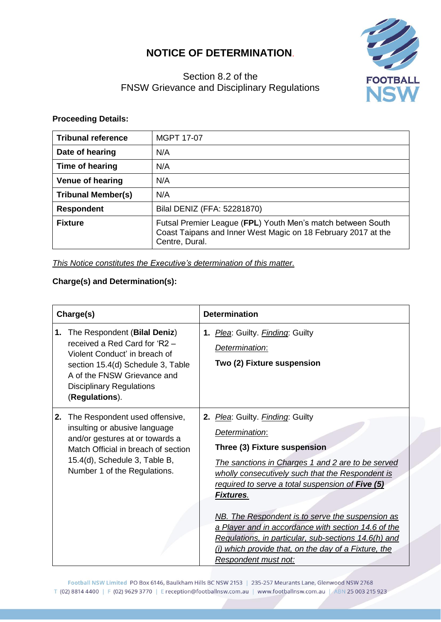## **NOTICE OF DETERMINATION**.



## Section 8.2 of the FNSW Grievance and Disciplinary Regulations

## **Proceeding Details:**

| <b>Tribunal reference</b> | <b>MGPT 17-07</b>                                                                                                                              |
|---------------------------|------------------------------------------------------------------------------------------------------------------------------------------------|
| Date of hearing           | N/A                                                                                                                                            |
| Time of hearing           | N/A                                                                                                                                            |
| <b>Venue of hearing</b>   | N/A                                                                                                                                            |
| <b>Tribunal Member(s)</b> | N/A                                                                                                                                            |
| <b>Respondent</b>         | Bilal DENIZ (FFA: 52281870)                                                                                                                    |
| <b>Fixture</b>            | Futsal Premier League (FPL) Youth Men's match between South<br>Coast Taipans and Inner West Magic on 18 February 2017 at the<br>Centre, Dural. |

*This Notice constitutes the Executive's determination of this matter.*

## **Charge(s) and Determination(s):**

| Charge(s) |                                                                                                                                                                                                                         | <b>Determination</b>                                                                                                                                                                                                                                                                                                                                                                                                                                                                                                   |  |  |
|-----------|-------------------------------------------------------------------------------------------------------------------------------------------------------------------------------------------------------------------------|------------------------------------------------------------------------------------------------------------------------------------------------------------------------------------------------------------------------------------------------------------------------------------------------------------------------------------------------------------------------------------------------------------------------------------------------------------------------------------------------------------------------|--|--|
| 1.        | The Respondent (Bilal Deniz)<br>received a Red Card for 'R2 -<br>Violent Conduct' in breach of<br>section 15.4(d) Schedule 3, Table<br>A of the FNSW Grievance and<br><b>Disciplinary Regulations</b><br>(Regulations). | 1. Plea: Guilty. Finding: Guilty<br>Determination:<br>Two (2) Fixture suspension                                                                                                                                                                                                                                                                                                                                                                                                                                       |  |  |
| 2.        | The Respondent used offensive,<br>insulting or abusive language<br>and/or gestures at or towards a<br>Match Official in breach of section<br>15.4(d), Schedule 3, Table B,<br>Number 1 of the Regulations.              | 2. Plea: Guilty. Finding: Guilty<br>Determination:<br>Three (3) Fixture suspension<br>The sanctions in Charges 1 and 2 are to be served<br>wholly consecutively such that the Respondent is<br>required to serve a total suspension of Five (5)<br><b>Fixtures.</b><br>NB. The Respondent is to serve the suspension as<br>a Player and in accordance with section 14.6 of the<br>Regulations, in particular, sub-sections 14.6(h) and<br>(i) which provide that, on the day of a Fixture, the<br>Respondent must not: |  |  |